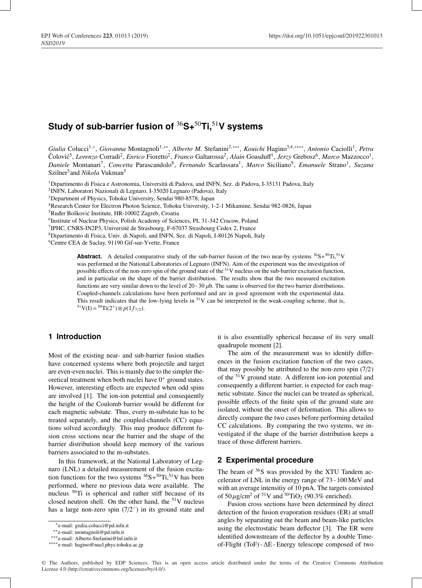# **Study of sub-barrier fusion of** <sup>36</sup>**S+**50**Ti,**51**V systems**

*Giulia* Colucci1,∗, *Giovanna* Montagnoli1,∗∗, *Alberto M.* Stefanini2,∗∗∗, *Kouichi* Hagino3,4,∗∗∗∗, *Antonio* Caciolli1, *Petra*  $\text{Čolović}^5$ , *Lorenzo* Corradi<sup>2</sup>, *Enrico* Fioretto<sup>2</sup>, *Franco* Galtarossa<sup>2</sup>, *Alain* Goasduff<sup>1</sup>, *Jerzy* Grebosz<sup>6</sup>, *Marco* Mazzocco<sup>1</sup>, *Daniele* Montanari7, *Concetta* Parascandolo8, *Fernando* Scarlassara1, *Marco* Siciliano9, *Emanuele* Strano1, *Suzana* Szilner<sup>5</sup> and *Nikola* Vukman<sup>5</sup>

1Dipartimento di Fisica e Astronomia, Università di Padova, and INFN, Sez. di Padova, I-35131 Padova, Italy

2INFN, Laboratori Nazionali di Legnaro, I-35020 Legnaro (Padova), Italy

3Department of Physics, Tohoku University, Sendai 980-8578, Japan

4Research Center for Electron Photon Science, Tohoku University, 1-2-1 Mikamine, Sendai 982-0826, Japan

5Ruder Boškovic Institute, HR-10002 Zagreb, Croatia ´

<sup>6</sup>Institute of Nuclear Physics, Polish Academy of Sciences, PL 31-342 Cracow, Poland

7IPHC, CNRS-IN2P3, Université de Strasbourg, F-67037 Strasbourg Cedex 2, France

8Dipartimento di Fisica, Univ. di Napoli, and INFN, Sez. di Napoli, I-80126 Napoli, Italy

<sup>9</sup>Centre CEA de Saclay, 91190 Gif-sur-Yvette, France

**Abstract.** A detailed comparative study of the sub-barrier fusion of the two near-by systems  ${}^{36}S+{}^{50}Ti, {}^{51}V$ was performed at the National Laboratories of Legnaro (INFN). Aim of the experiment was the investigation of possible effects of the non-zero spin of the ground state of the <sup>51</sup>V nucleus on the sub-barrier excitation function, and in particular on the shape of the barrier distribution. The results show that the two measured excitation functions are very similar down to the level of  $20 - 30 \mu b$ . The same is observed for the two barrier distributions. Coupled-channels calculations have been performed and are in good agreement with the experimental data. This result indicates that the low-lying levels in  $51V$  can be interpreted in the weak-coupling scheme, that is,  $51$ V(I) =  $50$ Ti(2<sup>+</sup>) ⊗  $p(1f_{7/2})$ .

# **1 Introduction**

Most of the existing near- and sub-barrier fusion studies have concerned systems where both projectile and target are even-even nuclei. This is mainly due to the simpler theoretical treatment when both nuclei have  $0^+$  ground states. However, interesting effects are expected when odd spins are involved [1]. The ion-ion potential and consequently the height of the Coulomb barrier would be different for each magnetic substate. Thus, every m-substate has to be treated separately, and the coupled-channels (CC) equations solved accordingly. This may produce different fusion cross sections near the barrier and the shape of the barrier distribution should keep memory of the various barriers associated to the m-substates.

In this framework, at the National Laboratory of Legnaro (LNL) a detailed measurement of the fusion excitation functions for the two systems  ${}^{36}S+{}^{50}Ti, {}^{51}V$  has been performed, where no previous data were available. The nucleus 50Ti is spherical and rather stiff because of its closed neutron shell. On the other hand, the  $51V$  nucleus has a large non-zero spin (7/2−) in its ground state and it is also essentially spherical because of its very small quadrupole moment [2].

The aim of the measurement was to identify differences in the fusion excitation function of the two cases, that may possibly be attributed to the non-zero spin (7/2) of the 51V ground state. A different ion-ion potential and consequently a different barrier, is expected for each magnetic substate. Since the nuclei can be treated as spherical, possible effects of the finite spin of the ground state are isolated, without the onset of deformation. This allows to directly compare the two cases before performing detailed CC calculations. By comparing the two systems, we investigated if the shape of the barrier distribution keeps a trace of those different barriers.

## **2 Experimental procedure**

The beam of  $36S$  was provided by the XTU Tandem accelerator of LNL in the energy range of 73 - 100 MeV and with an average intensitiy of 10 pnA. The targets consisted of  $50 \mu$ g/cm<sup>2</sup> of <sup>51</sup>V and <sup>50</sup>TiO<sub>2</sub> (90.3% enriched).

Fusion cross sections have been determined by direct detection of the fusion evaporation residues (ER) at small angles by separating out the beam and beam-like particles using the electrostatic beam deflector [3]. The ER were identified downstream of the deflector by a double Timeof-Flight (ToF) - ∆E - Energy telescope composed of two

<sup>∗</sup>e-mail: giulia.colucci@pd.infn.it

<sup>∗∗</sup>e-mail: montagnoli@pd.infn.it

<sup>∗∗∗</sup>e-mail: Alberto.Stefanini@lnl.infn.it

<sup>∗∗∗∗</sup>e-mail: hagino@nucl.phys.tohoku.ac.jp